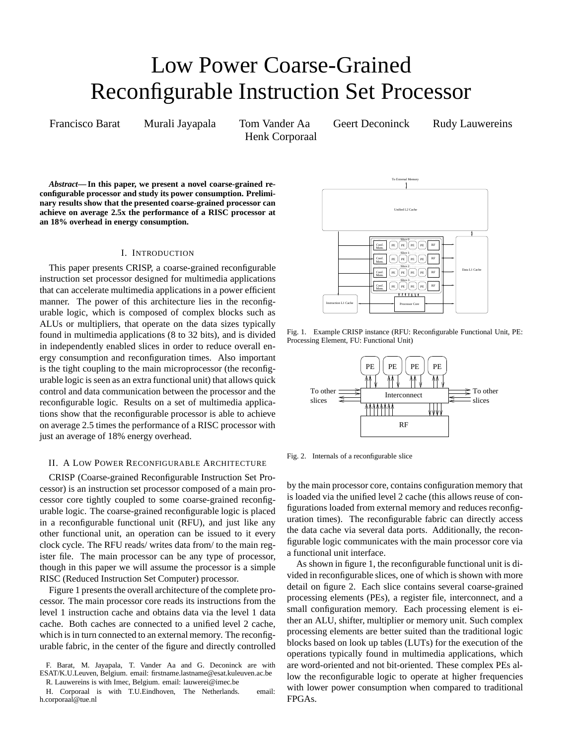# Low Power Coarse-Grained Reconfigurable Instruction Set Processor

Henk Corporaal

Francisco Barat Murali Jayapala Tom Vander Aa Geert Deconinck Rudy Lauwereins

*Abstract***—In this paper, we present a novel coarse-grained reconfigurable processor and study its power consumption. Preliminary results show that the presented coarse-grained processor can achieve on average 2.5x the performance of a RISC processor at an 18% overhead in energy consumption.**

## I. INTRODUCTION

This paper presents CRISP, a coarse-grained reconfigurable instruction set processor designed for multimedia applications that can accelerate multimedia applications in a power efficient manner. The power of this architecture lies in the reconfigurable logic, which is composed of complex blocks such as ALUs or multipliers, that operate on the data sizes typically found in multimedia applications (8 to 32 bits), and is divided in independently enabled slices in order to reduce overall energy consumption and reconfiguration times. Also important is the tight coupling to the main microprocessor (the reconfigurable logic is seen as an extra functional unit) that allows quick control and data communication between the processor and the reconfigurable logic. Results on a set of multimedia applications show that the reconfigurable processor is able to achieve on average 2.5 times the performance of a RISC processor with just an average of 18% energy overhead.

# II. A LOW POWER RECONFIGURABLE ARCHITECTURE

CRISP (Coarse-grained Reconfigurable Instruction Set Processor) is an instruction set processor composed of a main processor core tightly coupled to some coarse-grained reconfigurable logic. The coarse-grained reconfigurable logic is placed in a reconfigurable functional unit (RFU), and just like any other functional unit, an operation can be issued to it every clock cycle. The RFU reads/ writes data from/ to the main register file. The main processor can be any type of processor, though in this paper we will assume the processor is a simple RISC (Reduced Instruction Set Computer) processor.

Figure 1 presents the overall architecture of the complete processor. The main processor core reads its instructions from the level 1 instruction cache and obtains data via the level 1 data cache. Both caches are connected to a unified level 2 cache, which is in turn connected to an external memory. The reconfigurable fabric, in the center of the figure and directly controlled

F. Barat, M. Jayapala, T. Vander Aa and G. Deconinck are with ESAT/K.U.Leuven, Belgium. email: firstname.lastname@esat.kuleuven.ac.be R. Lauwereins is with Imec, Belgium. email: lauwerei@imec.be

H. Corporaal is with T.U.Eindhoven, The Netherlands. email: h.corporaal@tue.nl



Fig. 1. Example CRISP instance (RFU: Reconfigurable Functional Unit, PE: Processing Element, FU: Functional Unit)



Fig. 2. Internals of a reconfigurable slice

by the main processor core, contains configuration memory that is loaded via the unified level 2 cache (this allows reuse of configurations loaded from external memory and reduces reconfiguration times). The reconfigurable fabric can directly access the data cache via several data ports. Additionally, the reconfigurable logic communicates with the main processor core via a functional unit interface.

As shown in figure 1, the reconfigurable functional unit is divided in reconfigurable slices, one of which is shown with more detail on figure 2. Each slice contains several coarse-grained processing elements (PEs), a register file, interconnect, and a small configuration memory. Each processing element is either an ALU, shifter, multiplier or memory unit. Such complex processing elements are better suited than the traditional logic blocks based on look up tables (LUTs) for the execution of the operations typically found in multimedia applications, which are word-oriented and not bit-oriented. These complex PEs allow the reconfigurable logic to operate at higher frequencies with lower power consumption when compared to traditional FPGAs.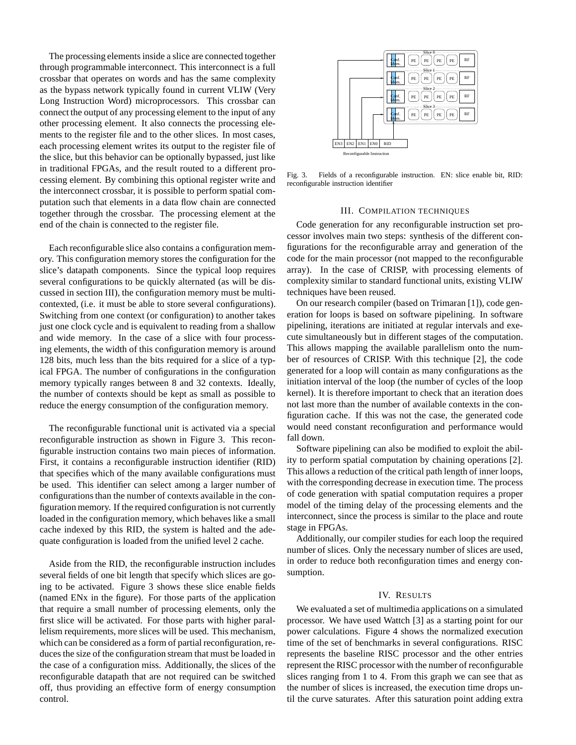The processing elements inside a slice are connected together through programmable interconnect. This interconnect is a full crossbar that operates on words and has the same complexity as the bypass network typically found in current VLIW (Very Long Instruction Word) microprocessors. This crossbar can connect the output of any processing element to the input of any other processing element. It also connects the processing elements to the register file and to the other slices. In most cases, each processing element writes its output to the register file of the slice, but this behavior can be optionally bypassed, just like in traditional FPGAs, and the result routed to a different processing element. By combining this optional register write and the interconnect crossbar, it is possible to perform spatial computation such that elements in a data flow chain are connected together through the crossbar. The processing element at the end of the chain is connected to the register file.

Each reconfigurable slice also contains a configuration memory. This configuration memory stores the configuration for the slice's datapath components. Since the typical loop requires several configurations to be quickly alternated (as will be discussed in section III), the configuration memory must be multicontexted, (i.e. it must be able to store several configurations). Switching from one context (or configuration) to another takes just one clock cycle and is equivalent to reading from a shallow and wide memory. In the case of a slice with four processing elements, the width of this configuration memory is around 128 bits, much less than the bits required for a slice of a typical FPGA. The number of configurations in the configuration memory typically ranges between 8 and 32 contexts. Ideally, the number of contexts should be kept as small as possible to reduce the energy consumption of the configuration memory.

The reconfigurable functional unit is activated via a special reconfigurable instruction as shown in Figure 3. This reconfigurable instruction contains two main pieces of information. First, it contains a reconfigurable instruction identifier (RID) that specifies which of the many available configurations must be used. This identifier can select among a larger number of configurationsthan the number of contexts available in the configuration memory. If the required configuration is not currently loaded in the configuration memory, which behaves like a small cache indexed by this RID, the system is halted and the adequate configuration is loaded from the unified level 2 cache.

Aside from the RID, the reconfigurable instruction includes several fields of one bit length that specify which slices are going to be activated. Figure 3 shows these slice enable fields (named ENx in the figure). For those parts of the application that require a small number of processing elements, only the first slice will be activated. For those parts with higher parallelism requirements, more slices will be used. This mechanism, which can be considered as a form of partial reconfiguration, reduces the size of the configuration stream that must be loaded in the case of a configuration miss. Additionally, the slices of the reconfigurable datapath that are not required can be switched off, thus providing an effective form of energy consumption control.



Fig. 3. Fields of a reconfigurable instruction. EN: slice enable bit, RID: reconfigurable instruction identifier

### III. COMPILATION TECHNIQUES

Code generation for any reconfigurable instruction set processor involves main two steps: synthesis of the different configurations for the reconfigurable array and generation of the code for the main processor (not mapped to the reconfigurable array). In the case of CRISP, with processing elements of complexity similar to standard functional units, existing VLIW techniques have been reused.

On our research compiler (based on Trimaran [1]), code generation for loops is based on software pipelining. In software pipelining, iterations are initiated at regular intervals and execute simultaneously but in different stages of the computation. This allows mapping the available parallelism onto the number of resources of CRISP. With this technique [2], the code generated for a loop will contain as many configurations as the initiation interval of the loop (the number of cycles of the loop kernel). It is therefore important to check that an iteration does not last more than the number of available contexts in the configuration cache. If this was not the case, the generated code would need constant reconfiguration and performance would fall down.

Software pipelining can also be modified to exploit the ability to perform spatial computation by chaining operations [2]. This allows a reduction of the critical path length of inner loops, with the corresponding decrease in execution time. The process of code generation with spatial computation requires a proper model of the timing delay of the processing elements and the interconnect, since the process is similar to the place and route stage in FPGAs.

Additionally, our compiler studies for each loop the required number of slices. Only the necessary number of slices are used, in order to reduce both reconfiguration times and energy consumption.

### IV. RESULTS

We evaluated a set of multimedia applications on a simulated processor. We have used Wattch [3] as a starting point for our power calculations. Figure 4 shows the normalized execution time of the set of benchmarks in several configurations. RISC represents the baseline RISC processor and the other entries represent the RISC processor with the number of reconfigurable slices ranging from 1 to 4. From this graph we can see that as the number of slices is increased, the execution time drops until the curve saturates. After this saturation point adding extra